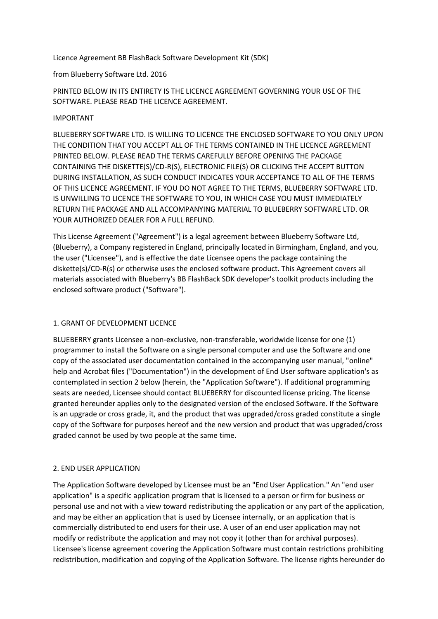Licence Agreement BB FlashBack Software Development Kit (SDK)

### from Blueberry Software Ltd. 2016

PRINTED BELOW IN ITS ENTIRETY IS THE LICENCE AGREEMENT GOVERNING YOUR USE OF THE SOFTWARE. PLEASE READ THE LICENCE AGREEMENT.

### IMPORTANT

BLUEBERRY SOFTWARE LTD. IS WILLING TO LICENCE THE ENCLOSED SOFTWARE TO YOU ONLY UPON THE CONDITION THAT YOU ACCEPT ALL OF THE TERMS CONTAINED IN THE LICENCE AGREEMENT PRINTED BELOW. PLEASE READ THE TERMS CAREFULLY BEFORE OPENING THE PACKAGE CONTAINING THE DISKETTE(S)/CD-R(S), ELECTRONIC FILE(S) OR CLICKING THE ACCEPT BUTTON DURING INSTALLATION, AS SUCH CONDUCT INDICATES YOUR ACCEPTANCE TO ALL OF THE TERMS OF THIS LICENCE AGREEMENT. IF YOU DO NOT AGREE TO THE TERMS, BLUEBERRY SOFTWARE LTD. IS UNWILLING TO LICENCE THE SOFTWARE TO YOU, IN WHICH CASE YOU MUST IMMEDIATELY RETURN THE PACKAGE AND ALL ACCOMPANYING MATERIAL TO BLUEBERRY SOFTWARE LTD. OR YOUR AUTHORIZED DEALER FOR A FULL REFUND.

This License Agreement ("Agreement") is a legal agreement between Blueberry Software Ltd, (Blueberry), a Company registered in England, principally located in Birmingham, England, and you, the user ("Licensee"), and is effective the date Licensee opens the package containing the diskette(s)/CD-R(s) or otherwise uses the enclosed software product. This Agreement covers all materials associated with Blueberry's BB FlashBack SDK developer's toolkit products including the enclosed software product ("Software").

# 1. GRANT OF DEVELOPMENT LICENCE

BLUEBERRY grants Licensee a non-exclusive, non-transferable, worldwide license for one (1) programmer to install the Software on a single personal computer and use the Software and one copy of the associated user documentation contained in the accompanying user manual, "online" help and Acrobat files ("Documentation") in the development of End User software application's as contemplated in section 2 below (herein, the "Application Software"). If additional programming seats are needed, Licensee should contact BLUEBERRY for discounted license pricing. The license granted hereunder applies only to the designated version of the enclosed Software. If the Software is an upgrade or cross grade, it, and the product that was upgraded/cross graded constitute a single copy of the Software for purposes hereof and the new version and product that was upgraded/cross graded cannot be used by two people at the same time.

# 2. END USER APPLICATION

The Application Software developed by Licensee must be an "End User Application." An "end user application" is a specific application program that is licensed to a person or firm for business or personal use and not with a view toward redistributing the application or any part of the application, and may be either an application that is used by Licensee internally, or an application that is commercially distributed to end users for their use. A user of an end user application may not modify or redistribute the application and may not copy it (other than for archival purposes). Licensee's license agreement covering the Application Software must contain restrictions prohibiting redistribution, modification and copying of the Application Software. The license rights hereunder do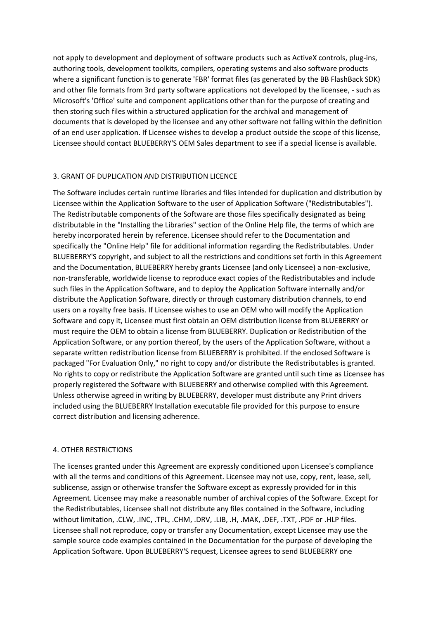not apply to development and deployment of software products such as ActiveX controls, plug-ins, authoring tools, development toolkits, compilers, operating systems and also software products where a significant function is to generate 'FBR' format files (as generated by the BB FlashBack SDK) and other file formats from 3rd party software applications not developed by the licensee, - such as Microsoft's 'Office' suite and component applications other than for the purpose of creating and then storing such files within a structured application for the archival and management of documents that is developed by the licensee and any other software not falling within the definition of an end user application. If Licensee wishes to develop a product outside the scope of this license, Licensee should contact BLUEBERRY'S OEM Sales department to see if a special license is available.

# 3. GRANT OF DUPLICATION AND DISTRIBUTION LICENCE

The Software includes certain runtime libraries and files intended for duplication and distribution by Licensee within the Application Software to the user of Application Software ("Redistributables"). The Redistributable components of the Software are those files specifically designated as being distributable in the "Installing the Libraries" section of the Online Help file, the terms of which are hereby incorporated herein by reference. Licensee should refer to the Documentation and specifically the "Online Help" file for additional information regarding the Redistributables. Under BLUEBERRY'S copyright, and subject to all the restrictions and conditions set forth in this Agreement and the Documentation, BLUEBERRY hereby grants Licensee (and only Licensee) a non-exclusive, non-transferable, worldwide license to reproduce exact copies of the Redistributables and include such files in the Application Software, and to deploy the Application Software internally and/or distribute the Application Software, directly or through customary distribution channels, to end users on a royalty free basis. If Licensee wishes to use an OEM who will modify the Application Software and copy it, Licensee must first obtain an OEM distribution license from BLUEBERRY or must require the OEM to obtain a license from BLUEBERRY. Duplication or Redistribution of the Application Software, or any portion thereof, by the users of the Application Software, without a separate written redistribution license from BLUEBERRY is prohibited. If the enclosed Software is packaged "For Evaluation Only," no right to copy and/or distribute the Redistributables is granted. No rights to copy or redistribute the Application Software are granted until such time as Licensee has properly registered the Software with BLUEBERRY and otherwise complied with this Agreement. Unless otherwise agreed in writing by BLUEBERRY, developer must distribute any Print drivers included using the BLUEBERRY Installation executable file provided for this purpose to ensure correct distribution and licensing adherence.

# 4. OTHER RESTRICTIONS

The licenses granted under this Agreement are expressly conditioned upon Licensee's compliance with all the terms and conditions of this Agreement. Licensee may not use, copy, rent, lease, sell, sublicense, assign or otherwise transfer the Software except as expressly provided for in this Agreement. Licensee may make a reasonable number of archival copies of the Software. Except for the Redistributables, Licensee shall not distribute any files contained in the Software, including without limitation, .CLW, .INC, .TPL, .CHM, .DRV, .LIB, .H, .MAK, .DEF, .TXT, .PDF or .HLP files. Licensee shall not reproduce, copy or transfer any Documentation, except Licensee may use the sample source code examples contained in the Documentation for the purpose of developing the Application Software. Upon BLUEBERRY'S request, Licensee agrees to send BLUEBERRY one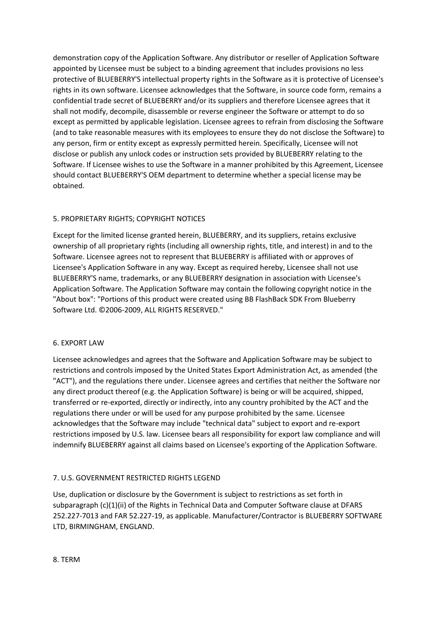demonstration copy of the Application Software. Any distributor or reseller of Application Software appointed by Licensee must be subject to a binding agreement that includes provisions no less protective of BLUEBERRY'S intellectual property rights in the Software as it is protective of Licensee's rights in its own software. Licensee acknowledges that the Software, in source code form, remains a confidential trade secret of BLUEBERRY and/or its suppliers and therefore Licensee agrees that it shall not modify, decompile, disassemble or reverse engineer the Software or attempt to do so except as permitted by applicable legislation. Licensee agrees to refrain from disclosing the Software (and to take reasonable measures with its employees to ensure they do not disclose the Software) to any person, firm or entity except as expressly permitted herein. Specifically, Licensee will not disclose or publish any unlock codes or instruction sets provided by BLUEBERRY relating to the Software. If Licensee wishes to use the Software in a manner prohibited by this Agreement, Licensee should contact BLUEBERRY'S OEM department to determine whether a special license may be obtained.

# 5. PROPRIETARY RIGHTS; COPYRIGHT NOTICES

Except for the limited license granted herein, BLUEBERRY, and its suppliers, retains exclusive ownership of all proprietary rights (including all ownership rights, title, and interest) in and to the Software. Licensee agrees not to represent that BLUEBERRY is affiliated with or approves of Licensee's Application Software in any way. Except as required hereby, Licensee shall not use BLUEBERRY'S name, trademarks, or any BLUEBERRY designation in association with Licensee's Application Software. The Application Software may contain the following copyright notice in the "About box": "Portions of this product were created using BB FlashBack SDK From Blueberry Software Ltd. ©2006-2009, ALL RIGHTS RESERVED."

#### 6. EXPORT LAW

Licensee acknowledges and agrees that the Software and Application Software may be subject to restrictions and controls imposed by the United States Export Administration Act, as amended (the "ACT"), and the regulations there under. Licensee agrees and certifies that neither the Software nor any direct product thereof (e.g. the Application Software) is being or will be acquired, shipped, transferred or re-exported, directly or indirectly, into any country prohibited by the ACT and the regulations there under or will be used for any purpose prohibited by the same. Licensee acknowledges that the Software may include "technical data" subject to export and re-export restrictions imposed by U.S. law. Licensee bears all responsibility for export law compliance and will indemnify BLUEBERRY against all claims based on Licensee's exporting of the Application Software.

#### 7. U.S. GOVERNMENT RESTRICTED RIGHTS LEGEND

Use, duplication or disclosure by the Government is subject to restrictions as set forth in subparagraph (c)(1)(ii) of the Rights in Technical Data and Computer Software clause at DFARS 252.227-7013 and FAR 52.227-19, as applicable. Manufacturer/Contractor is BLUEBERRY SOFTWARE LTD, BIRMINGHAM, ENGLAND.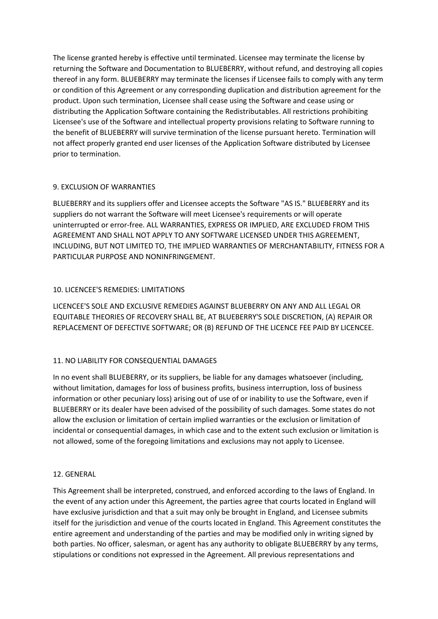The license granted hereby is effective until terminated. Licensee may terminate the license by returning the Software and Documentation to BLUEBERRY, without refund, and destroying all copies thereof in any form. BLUEBERRY may terminate the licenses if Licensee fails to comply with any term or condition of this Agreement or any corresponding duplication and distribution agreement for the product. Upon such termination, Licensee shall cease using the Software and cease using or distributing the Application Software containing the Redistributables. All restrictions prohibiting Licensee's use of the Software and intellectual property provisions relating to Software running to the benefit of BLUEBERRY will survive termination of the license pursuant hereto. Termination will not affect properly granted end user licenses of the Application Software distributed by Licensee prior to termination.

### 9. EXCLUSION OF WARRANTIES

BLUEBERRY and its suppliers offer and Licensee accepts the Software "AS IS." BLUEBERRY and its suppliers do not warrant the Software will meet Licensee's requirements or will operate uninterrupted or error-free. ALL WARRANTIES, EXPRESS OR IMPLIED, ARE EXCLUDED FROM THIS AGREEMENT AND SHALL NOT APPLY TO ANY SOFTWARE LICENSED UNDER THIS AGREEMENT, INCLUDING, BUT NOT LIMITED TO, THE IMPLIED WARRANTIES OF MERCHANTABILITY, FITNESS FOR A PARTICULAR PURPOSE AND NONINFRINGEMENT.

# 10. LICENCEE'S REMEDIES: LIMITATIONS

LICENCEE'S SOLE AND EXCLUSIVE REMEDIES AGAINST BLUEBERRY ON ANY AND ALL LEGAL OR EQUITABLE THEORIES OF RECOVERY SHALL BE, AT BLUEBERRY'S SOLE DISCRETION, (A) REPAIR OR REPLACEMENT OF DEFECTIVE SOFTWARE; OR (B) REFUND OF THE LICENCE FEE PAID BY LICENCEE.

# 11. NO LIABILITY FOR CONSEQUENTIAL DAMAGES

In no event shall BLUEBERRY, or its suppliers, be liable for any damages whatsoever (including, without limitation, damages for loss of business profits, business interruption, loss of business information or other pecuniary loss) arising out of use of or inability to use the Software, even if BLUEBERRY or its dealer have been advised of the possibility of such damages. Some states do not allow the exclusion or limitation of certain implied warranties or the exclusion or limitation of incidental or consequential damages, in which case and to the extent such exclusion or limitation is not allowed, some of the foregoing limitations and exclusions may not apply to Licensee.

#### 12. GENERAL

This Agreement shall be interpreted, construed, and enforced according to the laws of England. In the event of any action under this Agreement, the parties agree that courts located in England will have exclusive jurisdiction and that a suit may only be brought in England, and Licensee submits itself for the jurisdiction and venue of the courts located in England. This Agreement constitutes the entire agreement and understanding of the parties and may be modified only in writing signed by both parties. No officer, salesman, or agent has any authority to obligate BLUEBERRY by any terms, stipulations or conditions not expressed in the Agreement. All previous representations and